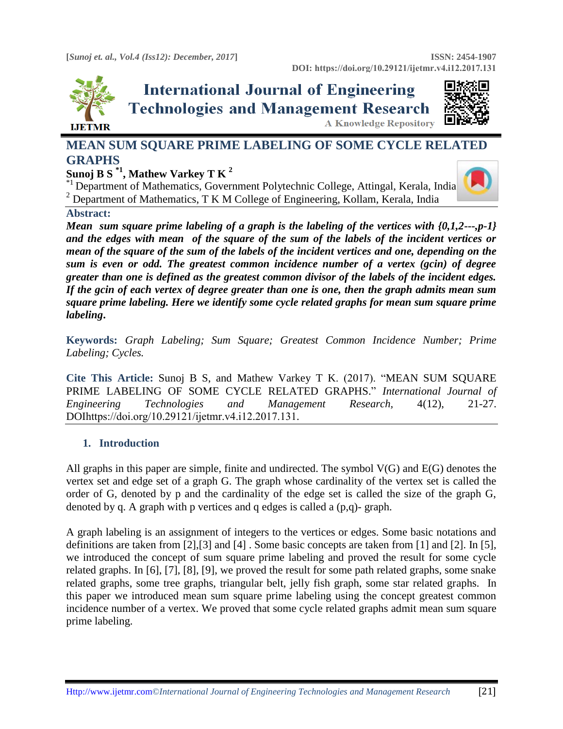

# **International Journal of Engineering Technologies and Management Research A Knowledge Repository**



## **MEAN SUM SQUARE PRIME LABELING OF SOME CYCLE RELATED GRAPHS**

### **Sunoj B S \*1, Mathew Varkey T K <sup>2</sup>**

\*1 Department of Mathematics, Government Polytechnic College, Attingal, Kerala, India  $2$  Department of Mathematics, T K M College of Engineering, Kollam, Kerala, India



# **Abstract:**

*Mean sum square prime labeling of a graph is the labeling of the vertices with {0,1,2---,p-1} and the edges with mean of the square of the sum of the labels of the incident vertices or mean of the square of the sum of the labels of the incident vertices and one, depending on the sum is even or odd. The greatest common incidence number of a vertex (gcin) of degree greater than one is defined as the greatest common divisor of the labels of the incident edges. If the gcin of each vertex of degree greater than one is one, then the graph admits mean sum square prime labeling. Here we identify some cycle related graphs for mean sum square prime labeling***.**

**Keywords:** *Graph Labeling; Sum Square; Greatest Common Incidence Number; Prime Labeling; Cycles.* 

**Cite This Article:** Sunoj B S, and Mathew Varkey T K. (2017). "MEAN SUM SQUARE PRIME LABELING OF SOME CYCLE RELATED GRAPHS." *International Journal of Engineering Technologies and Management Research,* 4(12), 21-27. DOIhttps://doi.org/10.29121/ijetmr.v4.i12.2017.131.

### **1. Introduction**

All graphs in this paper are simple, finite and undirected. The symbol V(G) and E(G) denotes the vertex set and edge set of a graph G. The graph whose cardinality of the vertex set is called the order of G, denoted by p and the cardinality of the edge set is called the size of the graph G, denoted by q. A graph with p vertices and q edges is called a (p,q)- graph.

A graph labeling is an assignment of integers to the vertices or edges. Some basic notations and definitions are taken from [2],[3] and [4] . Some basic concepts are taken from [1] and [2]. In [5], we introduced the concept of sum square prime labeling and proved the result for some cycle related graphs. In [6], [7], [8], [9], we proved the result for some path related graphs, some snake related graphs, some tree graphs, triangular belt, jelly fish graph, some star related graphs. In this paper we introduced mean sum square prime labeling using the concept greatest common incidence number of a vertex. We proved that some cycle related graphs admit mean sum square prime labeling.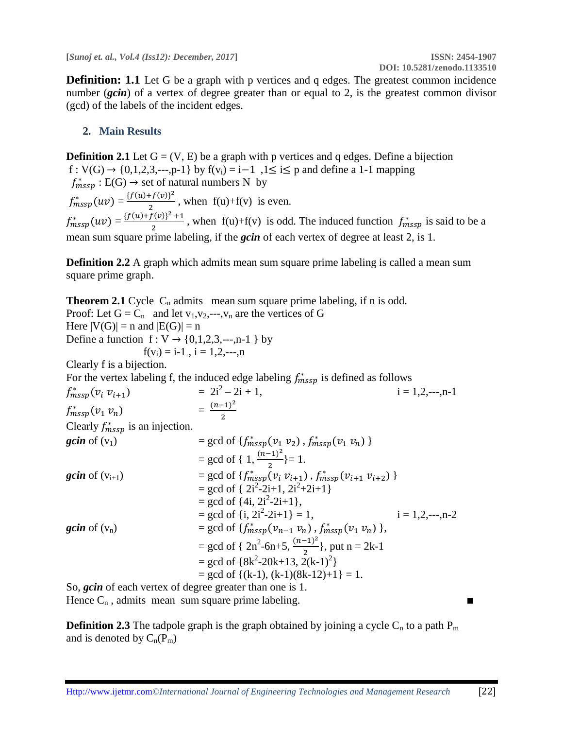**Definition: 1.1** Let G be a graph with p vertices and q edges. The greatest common incidence number (*gcin*) of a vertex of degree greater than or equal to 2, is the greatest common divisor (gcd) of the labels of the incident edges.

### **2. Main Results**

**Definition 2.1** Let  $G = (V, E)$  be a graph with p vertices and q edges. Define a bijection f : V(G) → {0,1,2,3,---,p-1} by f(v<sub>i</sub>) = i–1,1 ≤ i is p and define a 1-1 mapping  $f_{mssp}^* : E(G) \rightarrow set$  of natural numbers N by  $f_{mssp}^{*}(uv) = \frac{\{f(u) + f(v)\}^{2}}{2}$  $\frac{f'(v)}{2}$ , when  $f(u)+f(v)$  is even.  $f_{mssp}^{*}(uv) = \frac{\{f(u) + f(v)\}^{2} + 1}{2}$  $\frac{f(v)+f(v)}{2}$ , when  $f(u)+f(v)$  is odd. The induced function  $f_{mssp}^*$  is said to be a mean sum square prime labeling, if the *gcin* of each vertex of degree at least 2, is 1.

**Definition 2.2** A graph which admits mean sum square prime labeling is called a mean sum square prime graph.

**Theorem 2.1** Cycle  $C_n$  admits mean sum square prime labeling, if n is odd. Proof: Let  $G = C_n$  and let  $v_1, v_2, \dots, v_n$  are the vertices of G Here  $|V(G)| = n$  and  $|E(G)| = n$ Define a function  $f: V \to \{0,1,2,3,...,n-1\}$  by  $f(v_i) = i-1$ ,  $i = 1, 2, \dots, n$ Clearly f is a bijection. For the vertex labeling f, the induced edge labeling  $f_{mssp}^*$  is defined as follows  $f_{mssp}^*(v_i v_{i+1})$  = 2i  $= 2i^2 - 2i + 1$ ,  $i = 1, 2, \dots, n-1$  $f_{mssp}^*(v_1 v_n)$  =  $(n-1)^2$ 2 Clearly  $f_{mssp}^*$  is an injection. *gcin* of (v<sub>1</sub>)  $=$  gcd of { $f_{mssp}^*(v_1 v_2)$ ,  $f_{mssp}^*(v_1 v_n)$  }  $=$  gcd of { 1,  $\frac{(n-1)^2}{2}$  $\frac{-1}{2}$ }= 1. **gcin** of  $(v_{i+1})$  = gcd of  $\{f_{mssp}^*(v_i v_{i+1}), f_{mssp}^*(v_{i+1} v_{i+2})\}$  $=$  gcd of {  $2i^2$ -2i+1,  $2i^2$ +2i+1}  $=$  gcd of  $\{4i, 2i^2-2i+1\}$ ,  $=$  gcd of  $\{i, 2i^2\}$  $i = 1, 2, \dots, n-2$ *gcin* of  $(v_n)$  = gcd of  $\{f_{mssp}^*(v_{n-1} v_n)$ ,  $f_{mssp}^*(v_1 v_n)$ ,  $=$  gcd of { 2n<sup>2</sup>-6n+5,  $\frac{(n-1)^2}{2}$  $\frac{(-1)}{2}$ , put n = 2k-1 = gcd of  ${8k^2-20k+13, 2(k-1)^2}$  $=$  gcd of  $\{(k-1), (k-1)(8k-12)+1\} = 1.$ So, *gcin* of each vertex of degree greater than one is 1.

Hence  $C_n$ , admits mean sum square prime labeling.

**Definition 2.3** The tadpole graph is the graph obtained by joining a cycle  $C_n$  to a path  $P_m$ and is denoted by  $C_n(P_m)$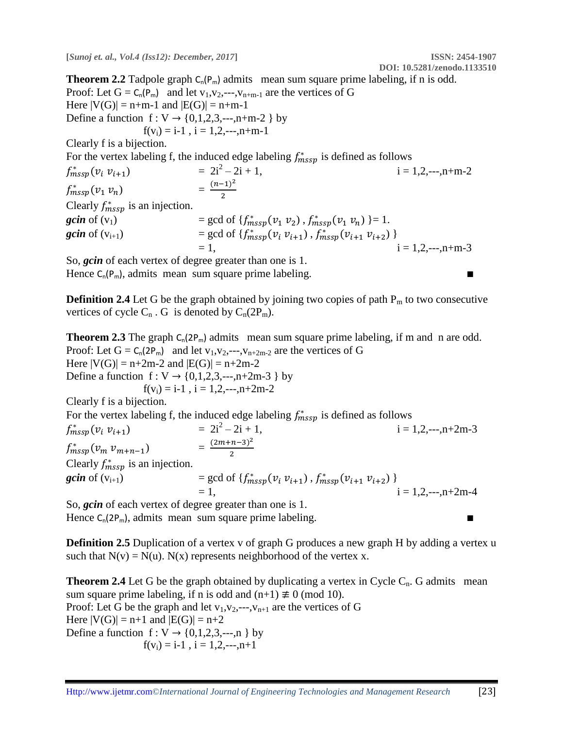**Theorem 2.2** Tadpole graph  $C_n(P_m)$  admits mean sum square prime labeling, if n is odd. Proof: Let  $G = C_n(P_m)$  and let  $v_1, v_2, \dots, v_{n+m-1}$  are the vertices of G Here  $|V(G)| = n+m-1$  and  $|E(G)| = n+m-1$ Define a function  $f: V \to \{0,1,2,3,--,n+m-2\}$  by  $f(v_i) = i-1$ ,  $i = 1, 2, \dots, n+m-1$ Clearly f is a bijection. For the vertex labeling f, the induced edge labeling  $f_{mssp}^*$  is defined as follows  $f_{mssp}^*(v_i v_{i+1})$  = 2i  $= 2i^2 - 2i + 1$ ,  $i = 1, 2, \dots, n+m-2$  $f_{mssp}^*(v_1 v_n)$  =  $(n-1)^2$ 2 Clearly  $f_{mssp}^*$  is an injection. *gcin* of  $(v_1)$  = gcd of  $\{f_{mssp}^*(v_1 \, v_2)$ ,  $f_{mssp}^*(v_1 \, v_n) \}=1$ . **gcin** of  $(v_{i+1})$  = gcd of  $\{f_{mssp}^*(v_i v_{i+1}), f_{mssp}^*(v_{i+1} v_{i+2})\}$  $= 1,$  i = 1,2,---,n+m-3

So, *gcin* of each vertex of degree greater than one is 1. Hence  $C_n(P_m)$ , admits mean sum square prime labeling.

**Definition 2.4** Let G be the graph obtained by joining two copies of path  $P_m$  to two consecutive vertices of cycle  $C_n$ . G is denoted by  $C_n(2P_m)$ .

**Theorem 2.3** The graph  $C_n(2P_m)$  admits mean sum square prime labeling, if m and n are odd. Proof: Let  $G = C_n(2P_m)$  and let  $v_1, v_2, \dots, v_{n+2m-2}$  are the vertices of G Here  $|V(G)| = n+2m-2$  and  $|E(G)| = n+2m-2$ Define a function  $f: V \to \{0,1,2,3,\dots, n+2m-3\}$  by  $f(v_i) = i-1$ ,  $i = 1, 2, \dots, n+2m-2$ Clearly f is a bijection.

For the vertex labeling f, the induced edge labeling  $f_{mssp}^*$  is defined as follows

 $f_{mssp}^*(v_i v_{i+1})$  = 2i  $= 2i^2 - 2i + 1$ ,  $i = 1, 2, \dots, n+2m-3$  $f_{mssp}^*(v_m v_{m+n-1})$  =  $(2m+n-3)^2$ 2 Clearly  $f_{mssp}^*$  is an injection. **gcin** of  $(v_{i+1})$  = gcd of  $\{f_{mssp}^*(v_i v_{i+1}), f_{mssp}^*(v_{i+1} v_{i+2})\}$ = gcd or  $\lim_{t \to 1}$ ,  $\lim_{t \to 1}$ ,  $\lim_{t \to 2}$ ,  $\lim_{t \to 2}$ ,  $\lim_{t \to 2}$ ,  $\lim_{t \to 1}$ ,  $i = 1, 2, -1, +2$ m-4

So, *gcin* of each vertex of degree greater than one is 1. Hence  $C_n(2P_m)$ , admits mean sum square prime labeling.

**Definition 2.5** Duplication of a vertex v of graph G produces a new graph H by adding a vertex u such that  $N(v) = N(u)$ .  $N(x)$  represents neighborhood of the vertex x.

**Theorem 2.4** Let G be the graph obtained by duplicating a vertex in Cycle  $C_n$ . G admits mean sum square prime labeling, if n is odd and  $(n+1) \not\equiv 0 \pmod{10}$ . Proof: Let G be the graph and let  $v_1, v_2, \dots, v_{n+1}$  are the vertices of G Here  $|V(G)| = n+1$  and  $|E(G)| = n+2$ Define a function  $f: V \rightarrow \{0,1,2,3,\dots,n\}$  by  $f(v_i) = i-1$ ,  $i = 1, 2, -1, n+1$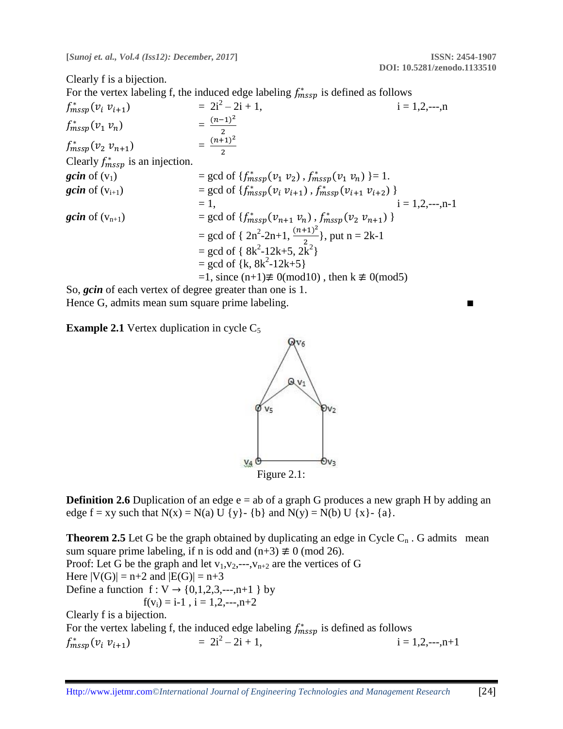Clearly f is a bijection.

For the vertex labeling f, the induced edge labeling  $f_{mssp}^*$  is defined as follows

$$
f_{mssp}^{*}(v_{i} v_{i+1}) = 2i^{2} - 2i + 1,
$$
  
\n
$$
f_{mssp}^{*}(v_{1} v_{n}) = \frac{(n-1)^{2}}{2}
$$
  
\n
$$
f_{mssp}^{*}(v_{2} v_{n+1}) = \frac{(n+1)^{2}}{2}
$$
  
\nClearly  $f_{mssp}^{*}$  is an injection.  
\n $gcin of (v_{1}) = gcd of \{f_{mssp}^{*}(v_{1} v_{2}), f_{mssp}^{*}(v_{1} v_{n})\} = 1.$   
\n $gcin of (v_{i+1}) = gcd of \{f_{mssp}^{*}(v_{i} v_{i+1}), f_{mssp}^{*}(v_{i+1} v_{i+2})\}$   
\n $= 1,$   
\n $gcin of (v_{n+1}) = gcd of \{f_{mssp}^{*}(v_{n+1} v_{n}), f_{mssp}^{*}(v_{2} v_{n+1})\}$   
\n $= gcd of \{2n^{2}-2n+1, \frac{(n+1)^{2}}{2}\}, put n = 2k-1$   
\n $= gcd of \{8k^{2}-12k+5, 2k^{2}\}$   
\n $= gcd of \{k, 8k^{2}-12k+5\}$   
\n $= 1, since (n+1) \neq 0 (mod 10), then k \neq 0 (mod 5)$ 

So, *gcin* of each vertex of degree greater than one is 1. Hence G, admits mean sum square prime labeling.

**Example 2.1** Vertex duplication in cycle  $C_5$ 



**Definition 2.6** Duplication of an edge e = ab of a graph G produces a new graph H by adding an edge  $f = xy$  such that  $N(x) = N(a) U \{y\}$  {b} and  $N(y) = N(b) U \{x\}$  {a}.

**Theorem 2.5** Let G be the graph obtained by duplicating an edge in Cycle  $C_n$ . G admits mean sum square prime labeling, if n is odd and  $(n+3) \not\equiv 0 \pmod{26}$ . Proof: Let G be the graph and let  $v_1, v_2, \dots, v_{n+2}$  are the vertices of G Here  $|V(G)| = n+2$  and  $|E(G)| = n+3$ Define a function  $f: V \rightarrow \{0,1,2,3,\dots,n+1\}$  by  $f(v_i) = i-1$ ,  $i = 1, 2, \dots, n+2$ Clearly f is a bijection. For the vertex labeling f, the induced edge labeling  $f_{mssp}^*$  is defined as follows  $f_{mssp}^*(v_i v_{i+1})$  = 2i  $= 2i^2 - 2i + 1$ .  $i = 1, 2, \dots, n+1$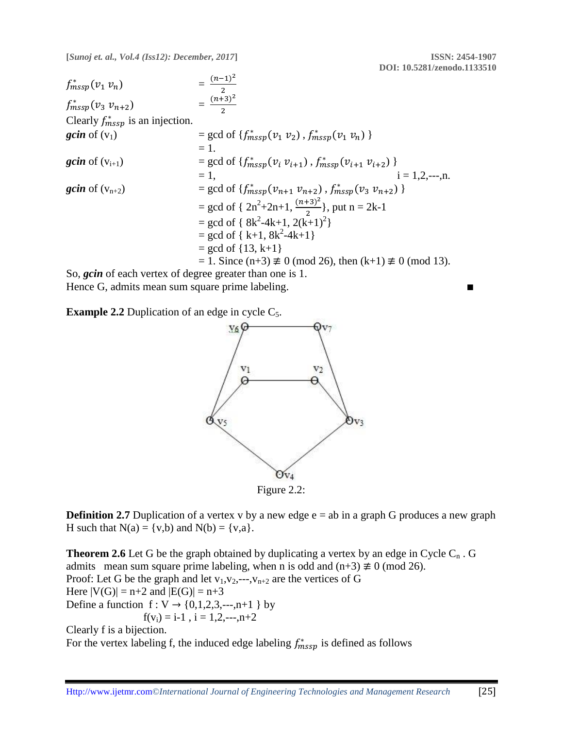$$
f_{mssp}^{*}(v_1 v_n) = \frac{(n-1)^2}{2}
$$
\n
$$
f_{mssp}^{*}(v_3 v_{n+2}) = \frac{(n+3)^2}{2}
$$
\nClearly  $f_{mssp}^{*}$  is an injection.  
\n
$$
gcin of (v_1) = gcd of \{f_{mssp}^{*}(v_1 v_2), f_{mssp}^{*}(v_1 v_n) \}
$$
\n
$$
= 1.
$$
\n
$$
gcin of (v_{i+1}) = gcd of \{f_{mssp}^{*}(v_i v_{i+1}), f_{mssp}^{*}(v_{i+1} v_{i+2}) \}
$$
\n
$$
= 1,
$$
\n
$$
gcin of (v_{n+2}) = gcd of \{f_{mssp}^{*}(v_{n+1} v_{n+2}), f_{mssp}^{*}(v_3 v_{n+2}) \}
$$
\n
$$
= gcd of \{ 2n^2 + 2n + 1, \frac{(n+3)^2}{2} \}, put n = 2k - 1
$$
\n
$$
= gcd of \{ 8k^2 - 4k + 1, 2(k+1)^2 \}
$$
\n
$$
= gcd of \{ k+1, 8k^2 - 4k + 1 \}
$$
\n
$$
= gcd of \{ 13, k+1 \}
$$
\n
$$
= 1. Since (n+3) \neq 0 (mod 26), then (k+1) \neq 0 (mod 13).
$$

So, *gcin* of each vertex of degree greater than one is 1. Hence G, admits mean sum square prime labeling. ■

**Example 2.2** Duplication of an edge in cycle  $C_5$ .



**Definition 2.7** Duplication of a vertex v by a new edge  $e = ab$  in a graph G produces a new graph H such that  $N(a) = \{v,b\}$  and  $N(b) = \{v,a\}$ .

**Theorem 2.6** Let G be the graph obtained by duplicating a vertex by an edge in Cycle  $C_n$ . G admits mean sum square prime labeling, when n is odd and  $(n+3) \not\equiv 0 \pmod{26}$ . Proof: Let G be the graph and let  $v_1, v_2, \dots, v_{n+2}$  are the vertices of G Here  $|V(G)| = n+2$  and  $|E(G)| = n+3$ Define a function  $f: V \to \{0,1,2,3,\dots,n+1\}$  by  $f(v_i) = i-1$ ,  $i = 1, 2, \dots, n+2$ 

Clearly f is a bijection.

For the vertex labeling f, the induced edge labeling  $f_{mssp}^*$  is defined as follows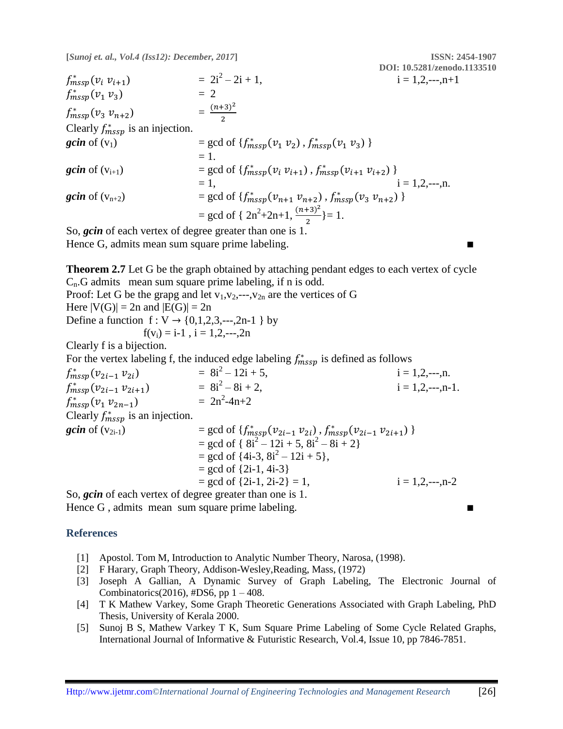**DOI: 10.5281/zenodo.1133510**  $f_{mssp}^*(v_i v_{i+1})$  = 2i  $= 2i^2 - 2i + 1,$  $i = 1, 2, \dots, n+1$  $f_{mssp}^*(v_1 \, v_3) = 2$  $f_{mssp}^*(v_3 v_{n+2})$  =  $(n+3)^2$ 2 Clearly  $f_{mssp}^*$  is an injection. **gcin** of (v<sub>1</sub>) = gcd of { $f_{mssp}^*(v_1 v_2)$ ,  $f_{mssp}^*(v_1 v_3)$  }  $= 1$ . **gcin** of  $(v_{i+1})$  = gcd of  $\{f_{mssp}^*(v_i v_{i+1}), f_{mssp}^*(v_{i+1} v_{i+2})\}$  $= 1,$  i = 1,2,---,n. **gcin** of  $(v_{n+2})$  = gcd of  $\{f_{mssp}^*(v_{n+1} v_{n+2}), f_{mssp}^*(v_3 v_{n+2})\}$ = gcd of {  $2n^2+2n+1$ ,  $\frac{(n+3)^2}{2}$  $\frac{(-1)^{2}}{2}$ }= 1.

So, *gcin* of each vertex of degree greater than one is 1. Hence G, admits mean sum square prime labeling.

**Theorem 2.7** Let G be the graph obtained by attaching pendant edges to each vertex of cycle  $C_n$ .G admits mean sum square prime labeling, if n is odd. Proof: Let G be the grapg and let  $v_1, v_2, \dots, v_{2n}$  are the vertices of G

Here  $|V(G)| = 2n$  and  $|E(G)| = 2n$ 

Define a function f : V → {0,1,2,3,---,2n-1 } by  $f(v_i) = i-1$ ,  $i = 1, 2, \dots, 2n$ 

Clearly f is a bijection.

For the vertex labeling f, the induced edge labeling  $f_{mssp}^*$  is defined as follows

 $f_{mssp}^*(v_{2i-1} v_{2i})$  = 8i  $= 8i^2 - 12i + 5,$  $i = 1, 2, \dots, n$ .  $f_{mssp}^*(v_{2i-1} v_{2i+1})$  = 8i  $= 8i^2 - 8i + 2.$  $i = 1, 2, \dots, n-1$ .  $f_{mssp}^{*}(v_1 v_{2n-1})$  = 2n<sup>2</sup>  $= 2n^2-4n+2$ Clearly  $f_{mssp}^*$  is an injection. **gcin** of (v<sub>2i-1</sub>) = gcd of { $f_{mssp}^*(v_{2i-1} v_{2i})$ ,  $f_{mssp}^*(v_{2i-1} v_{2i+1})$  }  $=$  gcd of { $8i^2 - 12i + 5$ ,  $8i^2 - 8i + 2$ }  $=$  gcd of  $\{4i-3, 8i^2 - 12i + 5\}$ ,  $=$  gcd of  $\{2i-1, 4i-3\}$  $=$  gcd of  $\{2i-1, 2i-2\} = 1$ ,  $i = 1, 2, \dots, n-2$ 

So, *gcin* of each vertex of degree greater than one is 1. Hence  $G$ , admits mean sum square prime labeling.

#### **References**

- [1] Apostol. Tom M, Introduction to Analytic Number Theory, Narosa, (1998).
- [2] F Harary, Graph Theory, Addison-Wesley,Reading, Mass, (1972)
- [3] Joseph A Gallian, A Dynamic Survey of Graph Labeling, The Electronic Journal of Combinatorics(2016), #DS6, pp  $1 - 408$ .
- [4] T K Mathew Varkey, Some Graph Theoretic Generations Associated with Graph Labeling, PhD Thesis, University of Kerala 2000.
- [5] Sunoj B S, Mathew Varkey T K, Sum Square Prime Labeling of Some Cycle Related Graphs, International Journal of Informative & Futuristic Research, Vol.4, Issue 10, pp 7846-7851.